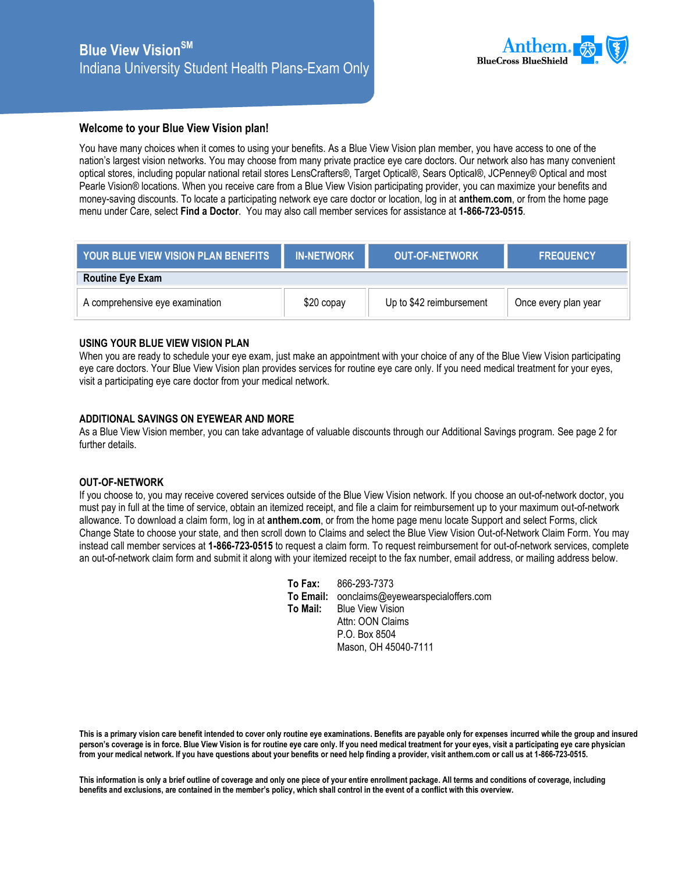

## **Welcome to your Blue View Vision plan!**

You have many choices when it comes to using your benefits. As a Blue View Vision plan member, you have access to one of the nation's largest vision networks. You may choose from many private practice eye care doctors. Our network also has many convenient optical stores, including popular national retail stores LensCrafters®, Target Optical®, Sears Optical®, JCPenney® Optical and most Pearle Vision® locations. When you receive care from a Blue View Vision participating provider, you can maximize your benefits and money-saving discounts. To locate a participating network eye care doctor or location, log in at **anthem.com**, or from the home page menu under Care, select **Find a Doctor**. You may also call member services for assistance at **1-866-723-0515**.

| <b>TYOUR BLUE VIEW VISION PLAN BENEFITS</b> | <b>IN-NETWORK</b> | <b>OUT-OF-NETWORK</b>    | <b>FREQUENCY</b>     |  |  |
|---------------------------------------------|-------------------|--------------------------|----------------------|--|--|
| <b>Routine Eye Exam</b>                     |                   |                          |                      |  |  |
| A comprehensive eye examination             | $$20$ copay       | Up to \$42 reimbursement | Once every plan year |  |  |

## **USING YOUR BLUE VIEW VISION PLAN**

When you are ready to schedule your eye exam, just make an appointment with your choice of any of the Blue View Vision participating eye care doctors. Your Blue View Vision plan provides services for routine eye care only. If you need medical treatment for your eyes, visit a participating eye care doctor from your medical network.

## **ADDITIONAL SAVINGS ON EYEWEAR AND MORE**

As a Blue View Vision member, you can take advantage of valuable discounts through our Additional Savings program. See page 2 for further details.

## **OUT-OF-NETWORK**

If you choose to, you may receive covered services outside of the Blue View Vision network. If you choose an out-of-network doctor, you must pay in full at the time of service, obtain an itemized receipt, and file a claim for reimbursement up to your maximum out-of-network allowance. To download a claim form, log in at **anthem.com**, or from the home page menu locate Support and select Forms, click Change State to choose your state, and then scroll down to Claims and select the Blue View Vision Out-of-Network Claim Form. You may instead call member services at **1-866-723-0515** to request a claim form. To request reimbursement for out-of-network services, complete an out-of-network claim form and submit it along with your itemized receipt to the fax number, email address, or mailing address below.

|           | To Fax: 866-293-7373               |
|-----------|------------------------------------|
| To Email: | oonclaims@eyewearspecialoffers.com |
| To Mail:  | <b>Blue View Vision</b>            |
|           | Attn: OON Claims                   |
|           | P.O. Box 8504                      |
|           | Mason, OH 45040-7111               |

**This is a primary vision care benefit intended to cover only routine eye examinations. Benefits are payable only for expenses incurred while the group and insured person's coverage is in force. Blue View Vision is for routine eye care only. If you need medical treatment for your eyes, visit a participating eye care physician from your medical network. If you have questions about your benefits or need help finding a provider, visit anthem.com or call us at 1-866-723-0515.** 

**This information is only a brief outline of coverage and only one piece of your entire enrollment package. All terms and conditions of coverage, including benefits and exclusions, are contained in the member's policy, which shall control in the event of a conflict with this overview.**